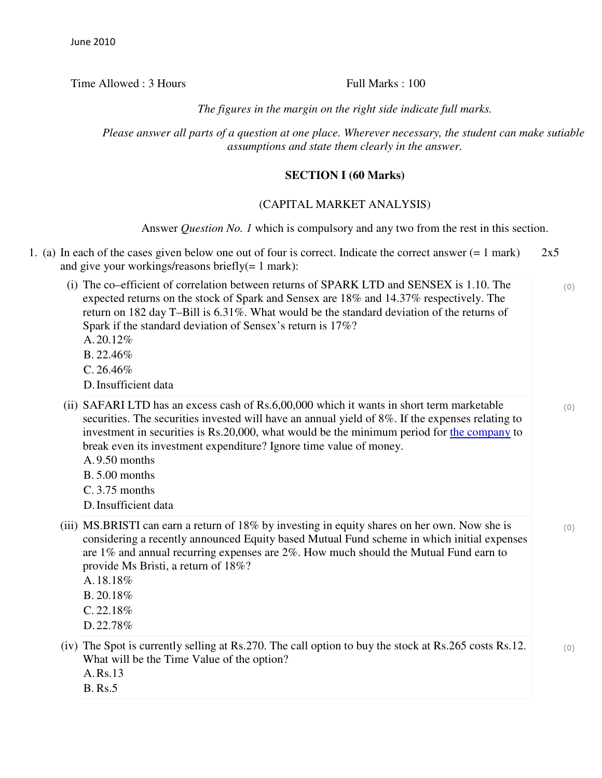Time Allowed : 3 Hours Full Marks : 100

*The figures in the margin on the right side indicate full marks.*

*Please answer all parts of a question at one place. Wherever necessary, the student can make sutiable assumptions and state them clearly in the answer.*

# **SECTION I (60 Marks)**

## (CAPITAL MARKET ANALYSIS)

Answer *Question No. 1* which is compulsory and any two from the rest in this section.

|  | 1. (a) In each of the cases given below one out of four is correct. Indicate the correct answer $(= 1 \text{ mark})$<br>and give your workings/reasons briefly $(= 1$ mark):                                                                                                                                                                                                                                                                            |     |
|--|---------------------------------------------------------------------------------------------------------------------------------------------------------------------------------------------------------------------------------------------------------------------------------------------------------------------------------------------------------------------------------------------------------------------------------------------------------|-----|
|  | (i) The co–efficient of correlation between returns of SPARK LTD and SENSEX is 1.10. The<br>expected returns on the stock of Spark and Sensex are 18% and 14.37% respectively. The<br>return on 182 day T-Bill is 6.31%. What would be the standard deviation of the returns of<br>Spark if the standard deviation of Sensex's return is 17%?<br>A. $20.12%$<br>B.22.46%<br>C.26.46%<br>D. Insufficient data                                            | (0) |
|  | (ii) SAFARI LTD has an excess cash of Rs.6,00,000 which it wants in short term marketable<br>securities. The securities invested will have an annual yield of 8%. If the expenses relating to<br>investment in securities is Rs.20,000, what would be the minimum period for the company to<br>break even its investment expenditure? Ignore time value of money.<br>A.9.50 months<br><b>B.</b> 5.00 months<br>$C. 3.75$ months<br>D. Insufficient data | (0) |
|  | (iii) MS.BRISTI can earn a return of 18% by investing in equity shares on her own. Now she is<br>considering a recently announced Equity based Mutual Fund scheme in which initial expenses<br>are 1% and annual recurring expenses are 2%. How much should the Mutual Fund earn to<br>provide Ms Bristi, a return of 18%?<br>A.18.18%<br>B.20.18%<br>$C. 22.18\%$<br>D.22.78%                                                                          | (0) |
|  | (iv) The Spot is currently selling at Rs.270. The call option to buy the stock at Rs.265 costs Rs.12.<br>What will be the Time Value of the option?<br>A.Rs.13<br><b>B.</b> Rs.5                                                                                                                                                                                                                                                                        | (0) |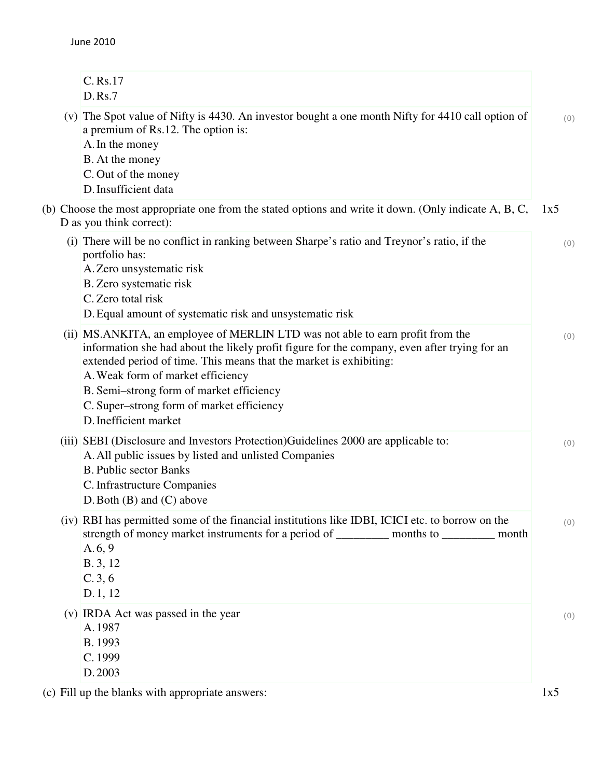June 2010

| C. Rs.17<br>D.Rs.7                                                                                                                                                                                                                                                                                                        |     |
|---------------------------------------------------------------------------------------------------------------------------------------------------------------------------------------------------------------------------------------------------------------------------------------------------------------------------|-----|
| (v) The Spot value of Nifty is 4430. An investor bought a one month Nifty for 4410 call option of<br>a premium of Rs.12. The option is:<br>A. In the money<br>B. At the money<br>C. Out of the money<br>D. Insufficient data                                                                                              | (0) |
| (b) Choose the most appropriate one from the stated options and write it down. (Only indicate A, B, C,<br>D as you think correct):                                                                                                                                                                                        | 1x5 |
| (i) There will be no conflict in ranking between Sharpe's ratio and Treynor's ratio, if the<br>portfolio has:<br>A. Zero unsystematic risk<br>B. Zero systematic risk<br>C. Zero total risk<br>D. Equal amount of systematic risk and unsystematic risk                                                                   | (0) |
| (ii) MS.ANKITA, an employee of MERLIN LTD was not able to earn profit from the                                                                                                                                                                                                                                            |     |
| information she had about the likely profit figure for the company, even after trying for an<br>extended period of time. This means that the market is exhibiting:<br>A. Weak form of market efficiency<br>B. Semi-strong form of market efficiency<br>C. Super-strong form of market efficiency<br>D. Inefficient market | (0) |
| (iii) SEBI (Disclosure and Investors Protection)Guidelines 2000 are applicable to:<br>A. All public issues by listed and unlisted Companies<br><b>B.</b> Public sector Banks<br>C. Infrastructure Companies<br>$D.$ Both $(B)$ and $(C)$ above                                                                            | (0) |
| (iv) RBI has permitted some of the financial institutions like IDBI, ICICI etc. to borrow on the<br>strength of money market instruments for a period of ___________ months to ___________ month<br>A.6, 9<br>B. 3, 12<br>C.3, 6<br>D. 1, 12                                                                              | (0) |
| (v) IRDA Act was passed in the year<br>A.1987<br>B. 1993<br>C. 1999<br>D. 2003                                                                                                                                                                                                                                            | (0) |

(c) Fill up the blanks with appropriate answers: 1x5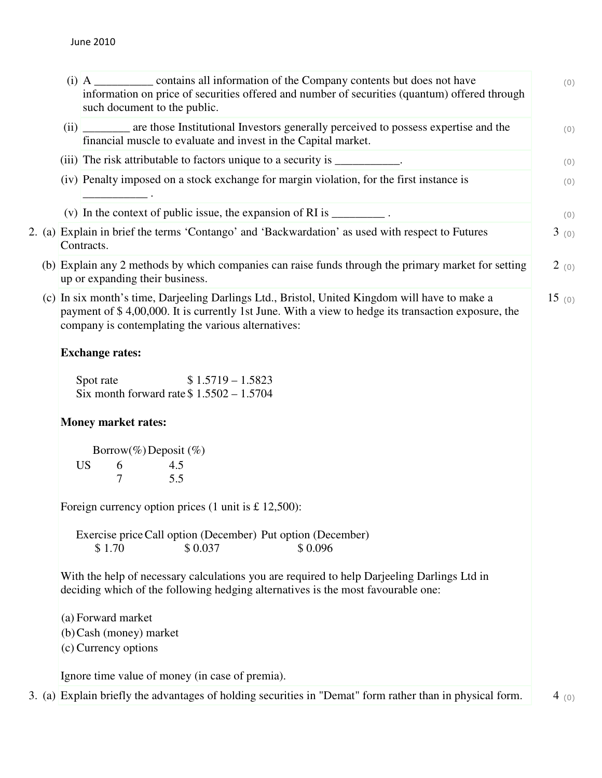|  |                                                                                                                                                                                 | (i) A __________ contains all information of the Company contents but does not have<br>information on price of securities offered and number of securities (quantum) offered through<br>such document to the public.                                                                                                                                                          | (0)   |  |  |  |  |
|--|---------------------------------------------------------------------------------------------------------------------------------------------------------------------------------|-------------------------------------------------------------------------------------------------------------------------------------------------------------------------------------------------------------------------------------------------------------------------------------------------------------------------------------------------------------------------------|-------|--|--|--|--|
|  |                                                                                                                                                                                 | (ii) ________ are those Institutional Investors generally perceived to possess expertise and the<br>financial muscle to evaluate and invest in the Capital market.                                                                                                                                                                                                            | (0)   |  |  |  |  |
|  |                                                                                                                                                                                 | (iii) The risk attributable to factors unique to a security is ___________.                                                                                                                                                                                                                                                                                                   | (0)   |  |  |  |  |
|  |                                                                                                                                                                                 | (iv) Penalty imposed on a stock exchange for margin violation, for the first instance is                                                                                                                                                                                                                                                                                      | (0)   |  |  |  |  |
|  |                                                                                                                                                                                 | (v) In the context of public issue, the expansion of RI is $\frac{1}{\sqrt{1-\frac{1}{\sqrt{1-\frac{1}{\sqrt{1-\frac{1}{\sqrt{1-\frac{1}{\sqrt{1-\frac{1}{\sqrt{1-\frac{1}{\sqrt{1-\frac{1}{\sqrt{1-\frac{1}{\sqrt{1-\frac{1}{\sqrt{1-\frac{1}{\sqrt{1-\frac{1}{\sqrt{1-\frac{1}{\sqrt{1-\frac{1}{\sqrt{1-\frac{1}{\sqrt{1-\frac{1}{\sqrt{1-\frac{1}{\sqrt{1-\frac{1}{\sqrt{$ | (0)   |  |  |  |  |
|  |                                                                                                                                                                                 | 2. (a) Explain in brief the terms 'Contango' and 'Backwardation' as used with respect to Futures<br>Contracts.                                                                                                                                                                                                                                                                | 3(0)  |  |  |  |  |
|  |                                                                                                                                                                                 | (b) Explain any 2 methods by which companies can raise funds through the primary market for setting<br>up or expanding their business.                                                                                                                                                                                                                                        | 2(0)  |  |  |  |  |
|  |                                                                                                                                                                                 | (c) In six month's time, Darjeeling Darlings Ltd., Bristol, United Kingdom will have to make a<br>payment of \$4,00,000. It is currently 1st June. With a view to hedge its transaction exposure, the<br>company is contemplating the various alternatives:                                                                                                                   | 15(0) |  |  |  |  |
|  | <b>Exchange rates:</b>                                                                                                                                                          |                                                                                                                                                                                                                                                                                                                                                                               |       |  |  |  |  |
|  | $$1.5719 - 1.5823$<br>Spot rate<br>Six month forward rate $$1.5502 - 1.5704$                                                                                                    |                                                                                                                                                                                                                                                                                                                                                                               |       |  |  |  |  |
|  | <b>Money market rates:</b>                                                                                                                                                      |                                                                                                                                                                                                                                                                                                                                                                               |       |  |  |  |  |
|  |                                                                                                                                                                                 | Borrow(%) Deposit (%)                                                                                                                                                                                                                                                                                                                                                         |       |  |  |  |  |
|  |                                                                                                                                                                                 | <b>US</b><br>4.5<br>6<br>$\overline{7}$<br>5.5                                                                                                                                                                                                                                                                                                                                |       |  |  |  |  |
|  | Foreign currency option prices $(1 \text{ unit is } £12,500)$ :                                                                                                                 |                                                                                                                                                                                                                                                                                                                                                                               |       |  |  |  |  |
|  |                                                                                                                                                                                 | Exercise price Call option (December) Put option (December)<br>\$1.70<br>\$0.037<br>\$0.096                                                                                                                                                                                                                                                                                   |       |  |  |  |  |
|  | With the help of necessary calculations you are required to help Darjeeling Darlings Ltd in<br>deciding which of the following hedging alternatives is the most favourable one: |                                                                                                                                                                                                                                                                                                                                                                               |       |  |  |  |  |
|  | (a) Forward market<br>(b) Cash (money) market<br>(c) Currency options                                                                                                           |                                                                                                                                                                                                                                                                                                                                                                               |       |  |  |  |  |
|  |                                                                                                                                                                                 | Ignore time value of money (in case of premia).                                                                                                                                                                                                                                                                                                                               |       |  |  |  |  |
|  |                                                                                                                                                                                 | 3. (a) Explain briefly the advantages of holding securities in "Demat" form rather than in physical form.                                                                                                                                                                                                                                                                     | 4 (0) |  |  |  |  |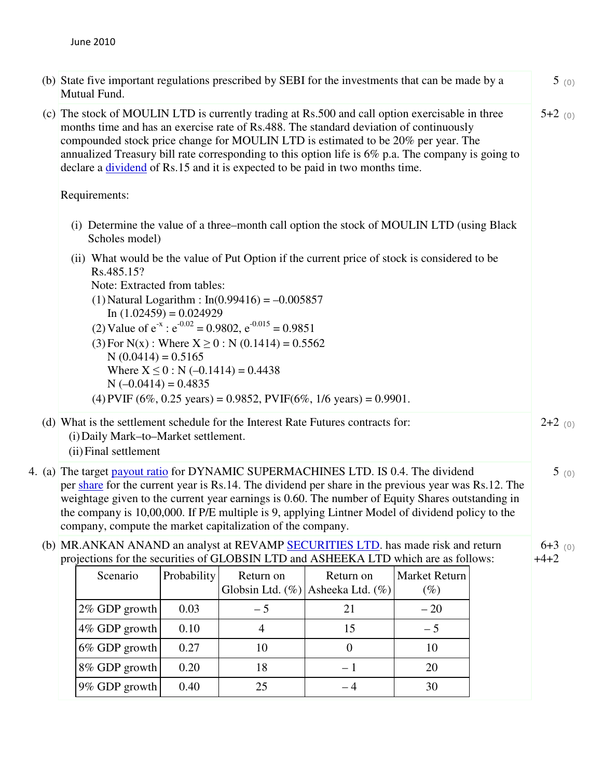| (b) State five important regulations prescribed by SEBI for the investments that can be made by a<br>Mutual Fund.                                                                                                                                                                                                                                                                                                                                                            |                                                               |             |                                        |                                                                                            | 5(0)                           |      |                     |
|------------------------------------------------------------------------------------------------------------------------------------------------------------------------------------------------------------------------------------------------------------------------------------------------------------------------------------------------------------------------------------------------------------------------------------------------------------------------------|---------------------------------------------------------------|-------------|----------------------------------------|--------------------------------------------------------------------------------------------|--------------------------------|------|---------------------|
| (c) The stock of MOULIN LTD is currently trading at Rs.500 and call option exercisable in three<br>months time and has an exercise rate of Rs.488. The standard deviation of continuously<br>compounded stock price change for MOULIN LTD is estimated to be 20% per year. The<br>annualized Treasury bill rate corresponding to this option life is 6% p.a. The company is going to<br>declare a <u>dividend</u> of Rs.15 and it is expected to be paid in two months time. |                                                               |             |                                        |                                                                                            |                                |      |                     |
| Requirements:                                                                                                                                                                                                                                                                                                                                                                                                                                                                |                                                               |             |                                        |                                                                                            |                                |      |                     |
| (i) Determine the value of a three–month call option the stock of MOULIN LTD (using Black<br>Scholes model)                                                                                                                                                                                                                                                                                                                                                                  |                                                               |             |                                        |                                                                                            |                                |      |                     |
| (ii) What would be the value of Put Option if the current price of stock is considered to be<br>Rs.485.15?<br>Note: Extracted from tables:<br>(1) Natural Logarithm : $In(0.99416) = -0.005857$<br>In $(1.02459) = 0.024929$<br>(2) Value of $e^{-x}$ : $e^{-0.02} = 0.9802$ , $e^{-0.015} = 0.9851$<br>(3) For N(x) : Where $X \ge 0$ : N (0.1414) = 0.5562<br>$N(0.0414) = 0.5165$                                                                                         |                                                               |             |                                        |                                                                                            |                                |      |                     |
|                                                                                                                                                                                                                                                                                                                                                                                                                                                                              | $N(-0.0414) = 0.4835$                                         |             | Where $X \le 0$ : N (-0.1414) = 0.4438 | (4) PVIF $(6\%, 0.25 \text{ years}) = 0.9852$ , PVIF $(6\%, 1/6 \text{ years}) = 0.9901$ . |                                |      |                     |
|                                                                                                                                                                                                                                                                                                                                                                                                                                                                              | (i) Daily Mark-to-Market settlement.<br>(ii) Final settlement |             |                                        | (d) What is the settlement schedule for the Interest Rate Futures contracts for:           |                                |      | $2+2$ (0)           |
| 4. (a) The target payout ratio for DYNAMIC SUPERMACHINES LTD. IS 0.4. The dividend<br>per share for the current year is Rs.14. The dividend per share in the previous year was Rs.12. The<br>weightage given to the current year earnings is 0.60. The number of Equity Shares outstanding in<br>the company is 10,00,000. If P/E multiple is 9, applying Lintner Model of dividend policy to the<br>company, compute the market capitalization of the company.              |                                                               |             |                                        |                                                                                            |                                | 5(0) |                     |
| (b) MR.ANKAN ANAND an analyst at REVAMP SECURITIES LTD. has made risk and return<br>projections for the securities of GLOBSIN LTD and ASHEEKA LTD which are as follows:                                                                                                                                                                                                                                                                                                      |                                                               |             |                                        |                                                                                            |                                |      | $6+3$ (0)<br>$+4+2$ |
|                                                                                                                                                                                                                                                                                                                                                                                                                                                                              | Scenario                                                      | Probability | Return on<br>Globsin Ltd. (%)          | Return on<br>Asheeka Ltd. (%)                                                              | <b>Market Return</b><br>$(\%)$ |      |                     |
|                                                                                                                                                                                                                                                                                                                                                                                                                                                                              | 2% GDP growth                                                 | 0.03        | $-5$                                   | 21                                                                                         | $-20$                          |      |                     |
|                                                                                                                                                                                                                                                                                                                                                                                                                                                                              | 4% GDP growth                                                 | 0.10        | $\overline{4}$                         | 15                                                                                         | $-5$                           |      |                     |

6% GDP growth 0.27 10 0 0 10 8% GDP growth 0.20 18 – 1 20 9% GDP growth 0.40 25 – 4 30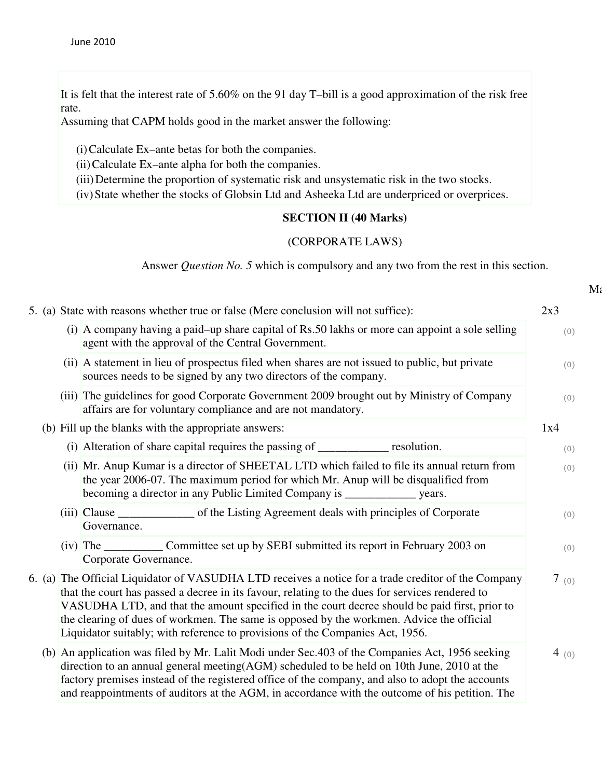It is felt that the interest rate of 5.60% on the 91 day T–bill is a good approximation of the risk free rate.

Assuming that CAPM holds good in the market answer the following:

(i)Calculate Ex–ante betas for both the companies.

(ii)Calculate Ex–ante alpha for both the companies.

(iii)Determine the proportion of systematic risk and unsystematic risk in the two stocks.

(iv)State whether the stocks of Globsin Ltd and Asheeka Ltd are underpriced or overprices.

## **SECTION II (40 Marks)**

### (CORPORATE LAWS)

Answer *Question No. 5* which is compulsory and any two from the rest in this section.

|  | 5. (a) State with reasons whether true or false (Mere conclusion will not suffice):                                                                                                                                                                                                                                                                                                                                                                                                  | 2x3  |
|--|--------------------------------------------------------------------------------------------------------------------------------------------------------------------------------------------------------------------------------------------------------------------------------------------------------------------------------------------------------------------------------------------------------------------------------------------------------------------------------------|------|
|  | (i) A company having a paid-up share capital of Rs.50 lakhs or more can appoint a sole selling<br>agent with the approval of the Central Government.                                                                                                                                                                                                                                                                                                                                 | (0)  |
|  | (ii) A statement in lieu of prospectus filed when shares are not issued to public, but private<br>sources needs to be signed by any two directors of the company.                                                                                                                                                                                                                                                                                                                    | (0)  |
|  | (iii) The guidelines for good Corporate Government 2009 brought out by Ministry of Company<br>affairs are for voluntary compliance and are not mandatory.                                                                                                                                                                                                                                                                                                                            | (0)  |
|  | (b) Fill up the blanks with the appropriate answers:                                                                                                                                                                                                                                                                                                                                                                                                                                 | 1x4  |
|  | (i) Alteration of share capital requires the passing of ____________ resolution.                                                                                                                                                                                                                                                                                                                                                                                                     | (0)  |
|  | (ii) Mr. Anup Kumar is a director of SHEETAL LTD which failed to file its annual return from<br>the year 2006-07. The maximum period for which Mr. Anup will be disqualified from<br>becoming a director in any Public Limited Company is _______________ years.                                                                                                                                                                                                                     | (0)  |
|  | (iii) Clause ________________ of the Listing Agreement deals with principles of Corporate<br>Governance.                                                                                                                                                                                                                                                                                                                                                                             | (0)  |
|  | Corporate Governance.                                                                                                                                                                                                                                                                                                                                                                                                                                                                | (0)  |
|  | 6. (a) The Official Liquidator of VASUDHA LTD receives a notice for a trade creditor of the Company<br>that the court has passed a decree in its favour, relating to the dues for services rendered to<br>VASUDHA LTD, and that the amount specified in the court decree should be paid first, prior to<br>the clearing of dues of workmen. The same is opposed by the workmen. Advice the official<br>Liquidator suitably; with reference to provisions of the Companies Act, 1956. | 7(0) |
|  | (b) An application was filed by Mr. Lalit Modi under Sec.403 of the Companies Act, 1956 seeking<br>direction to an annual general meeting(AGM) scheduled to be held on 10th June, 2010 at the<br>factory premises instead of the registered office of the company, and also to adopt the accounts<br>and reappointments of auditors at the AGM, in accordance with the outcome of his petition. The                                                                                  | 4(0) |